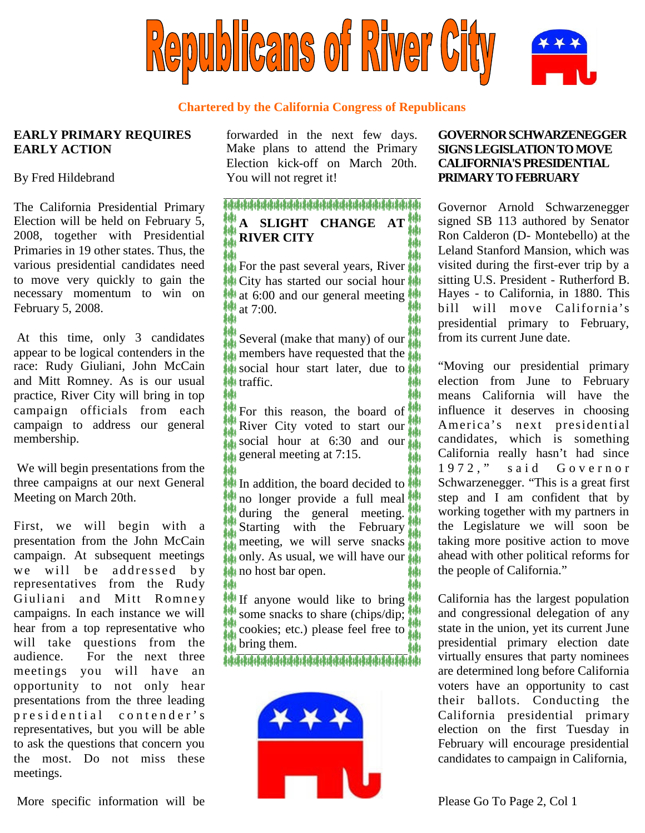

#### **Chartered by the California Congress of Republicans**

### **EARLY PRIMARY REQUIRES EARLY ACTION**

#### By Fred Hildebrand

The California Presidential Primary Election will be held on February 5, 2008, together with Presidential Primaries in 19 other states. Thus, the various presidential candidates need to move very quickly to gain the necessary momentum to win on February 5, 2008.

At this time, only 3 candidates appear to be logical contenders in the race: Rudy Giuliani, John McCain and Mitt Romney. As is our usual practice, River City will bring in top campaign officials from each campaign to address our general membership.

We will begin presentations from the three campaigns at our next General Meeting on March 20th.

First, we will begin with a presentation from the John McCain campaign. At subsequent meetings we will be addressed by representatives from the Rudy Giuliani and Mitt Romney campaigns. In each instance we will hear from a top representative who will take questions from the audience. For the next three meetings you will have an opportunity to not only hear presentations from the three leading presidential contender's representatives, but you will be able to ask the questions that concern you the most. Do not miss these meetings.

forwarded in the next few days. Make plans to attend the Primary Election kick-off on March 20th. You will not regret it!

## **A SLIGHT CHANGE AT RIVER CITY**

For the past several years, River City has started our social hour at 6:00 and our general meeting at 7:00.

Several (make that many) of our members have requested that the social hour start later, due to traffic. ويؤولا

For this reason, the board of River City voted to start our social hour at  $6:30$  and our general meeting at 7:15.

In addition, the board decided to no longer provide a full meal **W** during the general meeting. Starting with the February meeting, we will serve snacks only. As usual, we will have our no host bar open.

If anyone would like to bring some snacks to share (chips/dip; cookies; etc.) please feel free to bring them.



### **GOVERNORSCHWARZENEGGER SIGNSLEGISLATIONTO MOVE CALIFORNIA'S PRESIDENTIAL PRIMARY TO FEBRUARY**

Governor Arnold Schwarzenegger signed SB 113 authored by Senator Ron Calderon (D- Montebello) at the Leland Stanford Mansion, which was visited during the first-ever trip by a sitting U.S. President - Rutherford B. Hayes - to California, in 1880. This bill will move California's presidential primary to February, from its current June date.

"Moving our presidential primary election from June to February means California will have the influence it deserves in choosing America's next presidential candidates, which is something California really hasn't had since 1972," said Governor Schwarzenegger. "This is a great first step and I am confident that by working together with my partners in the Legislature we will soon be taking more positive action to move ahead with other political reforms for the people of California."

California has the largest population and congressional delegation of any state in the union, yet its current June presidential primary election date virtually ensures that party nominees are determined long before California voters have an opportunity to cast their ballots. Conducting the California presidential primary election on the first Tuesday in February will encourage presidential candidates to campaign in California,

More specific information will be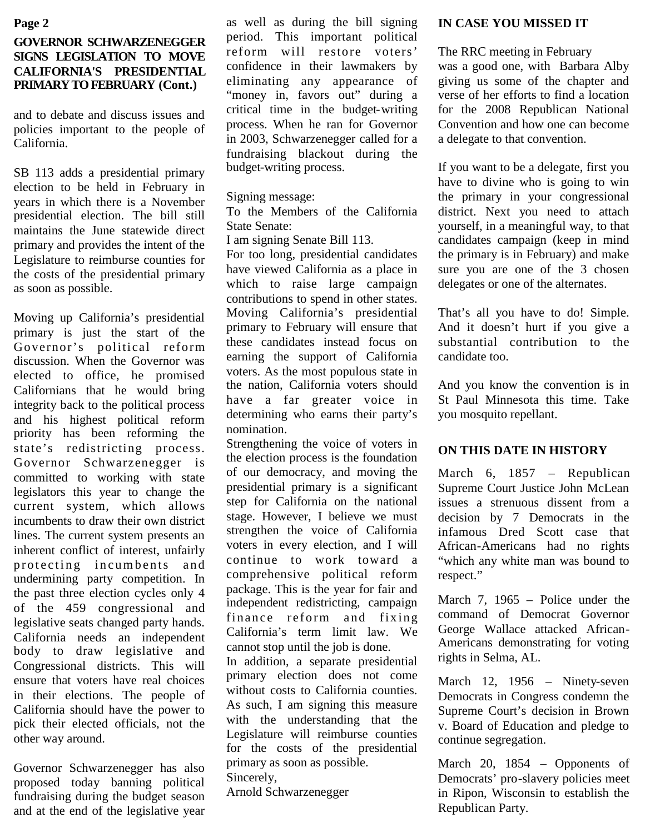#### **Page 2**

## **GOVERNOR SCHWARZENEGGER SIGNS LEGISLATION TO MOVE CALIFORNIA'S PRESIDENTIAL PRIMARY TO FEBRUARY (Cont.)**

and to debate and discuss issues and policies important to the people of California.

SB 113 adds a presidential primary election to be held in February in years in which there is a November presidential election. The bill still maintains the June statewide direct primary and provides the intent of the Legislature to reimburse counties for the costs of the presidential primary as soon as possible.

Moving up California's presidential primary is just the start of the Governor's political reform discussion. When the Governor was elected to office, he promised Californians that he would bring integrity back to the political process and his highest political reform priority has been reforming the state's redistricting process. Governor Schwarzenegger is committed to working with state legislators this year to change the current system, which allows incumbents to draw their own district lines. The current system presents an inherent conflict of interest, unfairly protecting incumbents and undermining party competition. In the past three election cycles only 4 of the 459 congressional and legislative seats changed party hands. California needs an independent body to draw legislative and Congressional districts. This will ensure that voters have real choices in their elections. The people of California should have the power to pick their elected officials, not the other way around.

Governor Schwarzenegger has also proposed today banning political fundraising during the budget season and at the end of the legislative year

as well as during the bill signing period. This important political reform will restore voters' confidence in their lawmakers by eliminating any appearance of "money in, favors out" during a critical time in the budget-writing process. When he ran for Governor in 2003, Schwarzenegger called for a fundraising blackout during the budget-writing process.

Signing message:

To the Members of the California State Senate:

I am signing Senate Bill 113.

For too long, presidential candidates have viewed California as a place in which to raise large campaign contributions to spend in other states. Moving California's presidential primary to February will ensure that these candidates instead focus on earning the support of California voters. As the most populous state in the nation, California voters should have a far greater voice in determining who earns their party's nomination.

Strengthening the voice of voters in the election process is the foundation of our democracy, and moving the presidential primary is a significant step for California on the national stage. However, I believe we must strengthen the voice of California voters in every election, and I will continue to work toward a comprehensive political reform package. This is the year for fair and independent redistricting, campaign finance reform and fixing California's term limit law. We cannot stop until the job is done.

In addition, a separate presidential primary election does not come without costs to California counties. As such, I am signing this measure with the understanding that the Legislature will reimburse counties for the costs of the presidential primary as soon as possible.

Sincerely,

Arnold Schwarzenegger

#### **IN CASE YOU MISSED IT**

The RRC meeting in February

was a good one, with Barbara Alby giving us some of the chapter and verse of her efforts to find a location for the 2008 Republican National Convention and how one can become a delegate to that convention.

If you want to be a delegate, first you have to divine who is going to win the primary in your congressional district. Next you need to attach yourself, in a meaningful way, to that candidates campaign (keep in mind the primary is in February) and make sure you are one of the 3 chosen delegates or one of the alternates.

That's all you have to do! Simple. And it doesn't hurt if you give a substantial contribution to the candidate too.

And you know the convention is in St Paul Minnesota this time. Take you mosquito repellant.

# **ON THIS DATE IN HISTORY**

March 6, 1857 – Republican Supreme Court Justice John McLean issues a strenuous dissent from a decision by 7 Democrats in the infamous Dred Scott case that African-Americans had no rights "which any white man was bound to respect."

March 7, 1965 – Police under the command of Democrat Governor George Wallace attacked African-Americans demonstrating for voting rights in Selma, AL.

March 12, 1956 – Ninety-seven Democrats in Congress condemn the Supreme Court's decision in Brown v. Board of Education and pledge to continue segregation.

March 20, 1854 – Opponents of Democrats' pro-slavery policies meet in Ripon, Wisconsin to establish the Republican Party.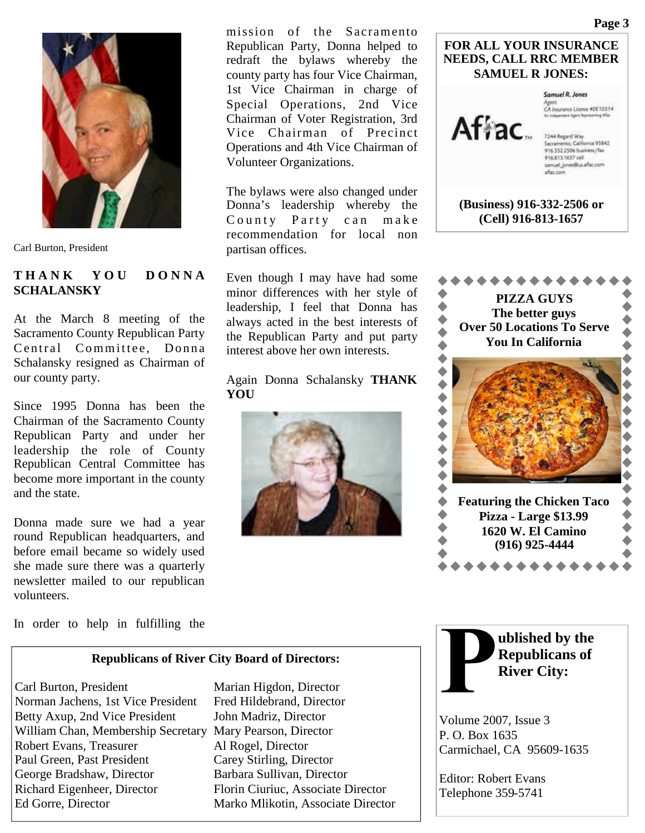

Carl Burton, President

### **T H A N K Y O U D O N N A SCHALANSKY**

At the March 8 meeting of the Sacramento County Republican Party Central Committee, Donna Schalansky resigned as Chairman of our county party.

Since 1995 Donna has been the Chairman of the Sacramento County Republican Party and under her leadership the role of County Republican Central Committee has become more important in the county and the state.

Donna made sure we had a year round Republican headquarters, and before email became so widely used she made sure there was a quarterly newsletter mailed to our republican volunteers.

mission of the Sacramento Republican Party, Donna helped to redraft the bylaws whereby the county party has four Vice Chairman, 1st Vice Chairman in charge of Special Operations, 2nd Vice Chairman of Voter Registration, 3rd Vice Chairman of Precinct Operations and 4th Vice Chairman of Volunteer Organizations.

The bylaws were also changed under Donna's leadership whereby the County Party can make recommendation for local non partisan offices.

Even though I may have had some minor differences with her style of leadership, I feel that Donna has always acted in the best interests of the Republican Party and put party interest above her own interests.

Again Donna Schalansky **THANK YOU**







In order to help in fulfilling the

#### **Republicans of River City Board of Directors:**

Carl Burton, President Marian Higdon, Director Norman Jachens, 1st Vice President Fred Hildebrand, Director Betty Axup, 2nd Vice President John Madriz, Director William Chan, Membership Secretary Mary Pearson, Director Robert Evans, Treasurer Al Rogel, Director Paul Green, Past President Carey Stirling, Director George Bradshaw, Director Barbara Sullivan, Director Richard Eigenheer, Director Florin Ciuriuc, Associate Director Ed Gorre, Director Marko Mlikotin, Associate Director

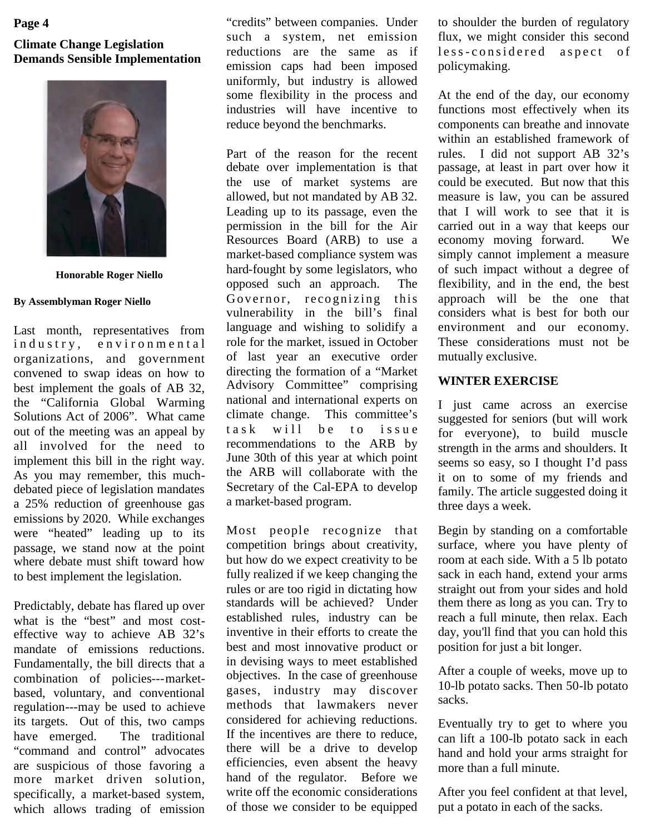## **Page 4**

## **Climate Change Legislation Demands Sensible Implementation**



**Honorable Roger Niello**

#### **By Assemblyman Roger Niello**

Last month, representatives from industry, environmental organizations, and government convened to swap ideas on how to best implement the goals of AB 32, the "California Global Warming Solutions Act of 2006". What came out of the meeting was an appeal by  $\tau$  as k all involved for the need to implement this bill in the right way. As you may remember, this muchdebated piece of legislation mandates a 25% reduction of greenhouse gas emissions by 2020. While exchanges were "heated" leading up to its passage, we stand now at the point where debate must shift toward how to best implement the legislation.

Predictably, debate has flared up over what is the "best" and most costeffective way to achieve AB 32's mandate of emissions reductions. Fundamentally, the bill directs that a combination of policies---marketbased, voluntary, and conventional regulation---may be used to achieve its targets. Out of this, two camps have emerged. The traditional "command and control" advocates are suspicious of those favoring a more market driven solution, specifically, a market-based system, which allows trading of emission

"credits" between companies. Under such a system, net emission reductions are the same as if emission caps had been imposed uniformly, but industry is allowed some flexibility in the process and industries will have incentive to reduce beyond the benchmarks.

Part of the reason for the recent debate over implementation is that the use of market systems are allowed, but not mandated by AB 32. Leading up to its passage, even the permission in the bill for the Air Resources Board (ARB) to use a market-based compliance system was hard-fought by some legislators, who opposed such an approach. The Governor, recognizing this vulnerability in the bill's final language and wishing to solidify a role for the market, issued in October of last year an executive order directing the formation of a "Market Advisory Committee" comprising national and international experts on climate change. This committee's will be to issue recommendations to the ARB by June 30th of this year at which point the ARB will collaborate with the Secretary of the Cal-EPA to develop a market-based program.

Most people recognize that competition brings about creativity, but how do we expect creativity to be fully realized if we keep changing the rules or are too rigid in dictating how standards will be achieved? Under established rules, industry can be inventive in their efforts to create the best and most innovative product or in devising ways to meet established objectives. In the case of greenhouse gases, industry may discover methods that lawmakers never considered for achieving reductions. If the incentives are there to reduce, there will be a drive to develop efficiencies, even absent the heavy hand of the regulator. Before we write off the economic considerations of those we consider to be equipped

to shoulder the burden of regulatory flux, we might consider this second less-considered aspect of policymaking.

At the end of the day, our economy functions most effectively when its components can breathe and innovate within an established framework of rules. I did not support AB 32's passage, at least in part over how it could be executed. But now that this measure is law, you can be assured that I will work to see that it is carried out in a way that keeps our economy moving forward. We simply cannot implement a measure of such impact without a degree of flexibility, and in the end, the best approach will be the one that considers what is best for both our environment and our economy. These considerations must not be mutually exclusive.

#### **WINTER EXERCISE**

I just came across an exercise suggested for seniors (but will work for everyone), to build muscle strength in the arms and shoulders. It seems so easy, so I thought I'd pass it on to some of my friends and family. The article suggested doing it three days a week.

Begin by standing on a comfortable surface, where you have plenty of room at each side. With a 5 lb potato sack in each hand, extend your arms straight out from your sides and hold them there as long as you can. Try to reach a full minute, then relax. Each day, you'll find that you can hold this position for just a bit longer.

After a couple of weeks, move up to 10-lb potato sacks. Then 50-lb potato sacks.

Eventually try to get to where you can lift a 100-lb potato sack in each hand and hold your arms straight for more than a full minute.

After you feel confident at that level, put a potato in each of the sacks.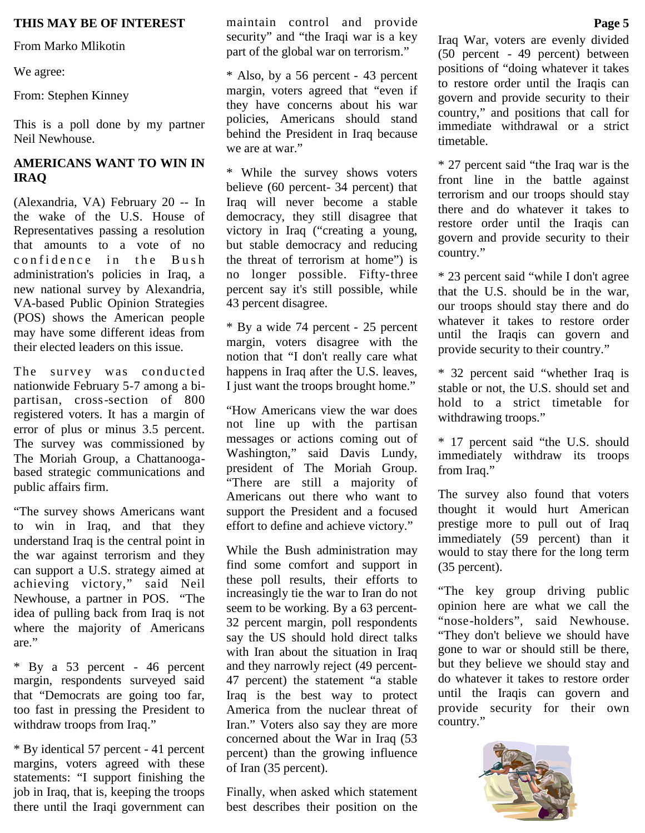From Marko Mlikotin

We agree:

From: Stephen Kinney

This is a poll done by my partner Neil Newhouse.

## **AMERICANS WANT TO WIN IN IRAQ**

(Alexandria, VA) February 20 -- In the wake of the U.S. House of Representatives passing a resolution that amounts to a vote of no confidence in the Bush administration's policies in Iraq, a new national survey by Alexandria, VA-based Public Opinion Strategies (POS) shows the American people may have some different ideas from their elected leaders on this issue.

The survey was conducted nationwide February 5-7 among a bipartisan, cross-section of 800 registered voters. It has a margin of error of plus or minus 3.5 percent. The survey was commissioned by The Moriah Group, a Chattanoogabased strategic communications and public affairs firm.

"The survey shows Americans want to win in Iraq, and that they understand Iraq is the central point in the war against terrorism and they can support a U.S. strategy aimed at achieving victory," said Neil Newhouse, a partner in POS. "The idea of pulling back from Iraq is not where the majority of Americans are."

\* By a 53 percent - 46 percent margin, respondents surveyed said that "Democrats are going too far, too fast in pressing the President to withdraw troops from Iraq."

\* By identical 57 percent - 41 percent margins, voters agreed with these statements: "I support finishing the job in Iraq, that is, keeping the troops there until the Iraqi government can

**THIS MAY BE OF INTEREST** maintain control and provide **Page 5** security" and "the Iraqi war is a key part of the global war on terrorism."

> \* Also, by a 56 percent - 43 percent margin, voters agreed that "even if they have concerns about his war policies, Americans should stand behind the President in Iraq because we are at war."

> \* While the survey shows voters believe (60 percent- 34 percent) that Iraq will never become a stable democracy, they still disagree that victory in Iraq ("creating a young, but stable democracy and reducing the threat of terrorism at home") is no longer possible. Fifty-three percent say it's still possible, while 43 percent disagree.

> \* By a wide 74 percent - 25 percent margin, voters disagree with the notion that "I don't really care what happens in Iraq after the U.S. leaves, I just want the troops brought home."

> "How Americans view the war does not line up with the partisan messages or actions coming out of Washington," said Davis Lundy, president of The Moriah Group. "There are still a majority of Americans out there who want to support the President and a focused effort to define and achieve victory."

> While the Bush administration may find some comfort and support in these poll results, their efforts to increasingly tie the war to Iran do not seem to be working. By a 63 percent-32 percent margin, poll respondents say the US should hold direct talks with Iran about the situation in Iraq and they narrowly reject (49 percent-47 percent) the statement "a stable Iraq is the best way to protect America from the nuclear threat of Iran." Voters also say they are more concerned about the War in Iraq (53 percent) than the growing influence of Iran (35 percent).

Finally, when asked which statement best describes their position on the

Iraq War, voters are evenly divided (50 percent - 49 percent) between positions of "doing whatever it takes to restore order until the Iraqis can govern and provide security to their country," and positions that call for immediate withdrawal or a strict timetable.

\* 27 percent said "the Iraq war is the front line in the battle against terrorism and our troops should stay there and do whatever it takes to restore order until the Iraqis can govern and provide security to their country."

\* 23 percent said "while I don't agree that the U.S. should be in the war, our troops should stay there and do whatever it takes to restore order until the Iraqis can govern and provide security to their country."

\* 32 percent said "whether Iraq is stable or not, the U.S. should set and hold to a strict timetable for withdrawing troops."

\* 17 percent said "the U.S. should immediately withdraw its troops from Iraq."

The survey also found that voters thought it would hurt American prestige more to pull out of Iraq immediately (59 percent) than it would to stay there for the long term (35 percent).

"The key group driving public opinion here are what we call the "nose-holders", said Newhouse. "They don't believe we should have gone to war or should still be there, but they believe we should stay and do whatever it takes to restore order until the Iraqis can govern and provide security for their own country."